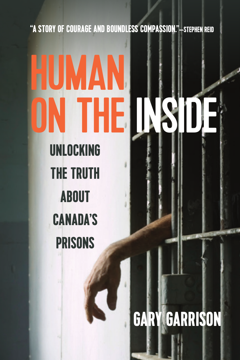**"A STORY OF COURAGE AND BOUNDLESS COMPASSION."—STEPHEN REID**

# HUMAN ON THE INSIDE **UNLOCKING THE TRUTH ABOUT CANADA'S PRISONS**

# **GARY GARRISON**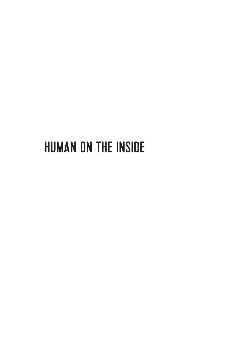## HUMAN ON THE INSIDE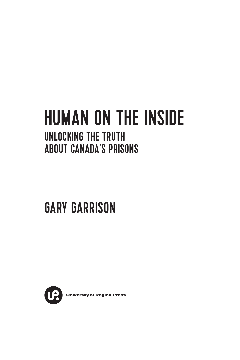# HUMAN ON THE INSIDE UNLOCKING THE TRUTH ABOUT CANADA'S PRISONS

## GARY GARRISON



**University of Regina Press**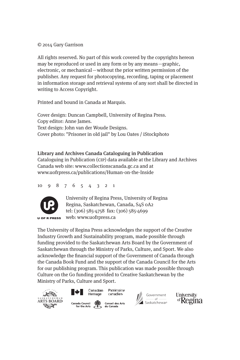#### © 2014 Gary Garrison

All rights reserved. No part of this work covered by the copyrights hereon may be reproduced or used in any form or by any means —graphic, electronic, or mechanical — without the prior written permission of the publisher. Any request for photocopying, recording, taping or placement in information storage and retrieval systems of any sort shall be directed in writing to Access Copyright.

Printed and bound in Canada at Marquis.

Cover design: Duncan Campbell, University of Regina Press. Copy editor: Anne James. Text design: John van der Woude Designs. Cover photo: "Prisoner in old jail" by Lou Oates / iStockphoto

#### Library and Archives Canada Cataloguing in Publication

Cataloguing in Publication (cip) data available at the Library and Archives Canada web site: www.collectionscanada.gc.ca and at www.uofrpress.ca/publications/Human-on-the-Inside

#### 10 9 8 7 6 5 4 3 2 1



University of Regina Press, University of Regina Regina, Saskatchewan, Canada, S4S 0A2 tel: (306) 585-4758 fax: (306) 585-4699 u oF R PRESS Web: WWW.uofrpress.ca

The University of Regina Press acknowledges the support of the Creative Industry Growth and Sustainability program, made possible through funding provided to the Saskatchewan Arts Board by the Government of Saskatchewan through the Ministry of Parks, Culture, and Sport. We also acknowledge the financial support of the Government of Canada through the Canada Book Fund and the support of the Canada Council for the Arts for our publishing program. This publication was made possible through Culture on the Go funding provided to Creative Saskatchewan by the Ministry of Parks, Culture and Sport.





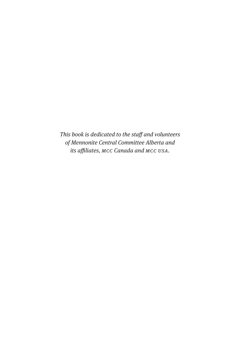This book is dedicated to the staff and volunteers of Mennonite Central Committee Alberta and its affiliates, mcc Canada and mcc usa.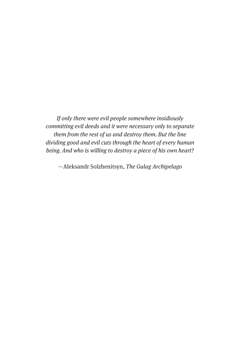If only there were evil people somewhere insidiously committing evil deeds and it were necessary only to separate them from the rest of us and destroy them. But the line dividing good and evil cuts through the heart of every human being. And who is willing to destroy a piece of his own heart?

— Aleksandr Solzhenitsyn, The Gulag Archipelago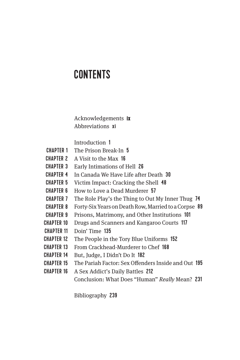## CONTENTS

Acknowledgements ix Abbreviations xi

Introduction 1

- The Prison Break-In 5 CHAPTER 1
- **CHAPTER 2** A Visit to the Max 16
- **CHAPTER 3** Early Intimations of Hell 26
- CHAPTER 4 In Canada We Have Life after Death 30
- CHAPTER 5 Victim Impact: Cracking the Shell 48
- CHAPTER 6 How to Love a Dead Murderer 57
- The Role Play's the Thing to Out My Inner Thug 74 CHAPTER 7
- **CHAPTER 8** Forty-Six Years on Death Row, Married to a Corpse 89
- Prisons, Matrimony, and Other Institutions 101 CHAPTER 9
- Drugs and Scanners and Kangaroo Courts 117 CHAPTER 10
- Doin' Time 135 CHAPTER 11
- The People in the Tory Blue Uniforms 152 CHAPTER 12
- From Crackhead-Murderer to Chef 168 CHAPTER 13
- CHAPTER 14 But, Judge, I Didn't Do It 182
- The Pariah Factor: Sex Offenders Inside and Out 195 CHAPTER 15
- A Sex Addict's Daily Battles 212 Conclusion: What Does "Human" Really Mean? 231 CHAPTER 16

Bibliography 239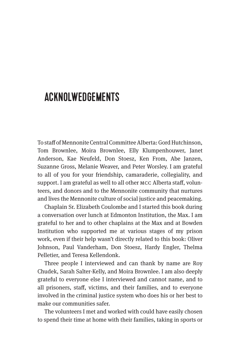## ACKNOLWEDGEMENTS

To staff of Mennonite Central Committee Alberta: Gord Hutchinson, Tom Brownlee, Moira Brownlee, Elly Klumpenhouwer, Janet Anderson, Kae Neufeld, Don Stoesz, Ken From, Abe Janzen, Suzanne Gross, Melanie Weaver, and Peter Worsley. I am grateful to all of you for your friendship, camaraderie, collegiality, and support. I am grateful as well to all other mcc Alberta staff, volunteers, and donors and to the Mennonite community that nurtures and lives the Mennonite culture of social justice and peacemaking.

Chaplain Sr. Elizabeth Coulombe and I started this book during a conversation over lunch at Edmonton Institution, the Max. I am grateful to her and to other chaplains at the Max and at Bowden Institution who supported me at various stages of my prison work, even if their help wasn't directly related to this book: Oliver Johnson, Paul Vanderham, Don Stoesz, Hardy Engler, Thelma Pelletier, and Teresa Kellendonk.

Three people I interviewed and can thank by name are Roy Chudek, Sarah Salter-Kelly, and Moira Brownlee. I am also deeply grateful to everyone else I interviewed and cannot name, and to all prisoners, staff, victims, and their families, and to everyone involved in the criminal justice system who does his or her best to make our communities safer.

The volunteers I met and worked with could have easily chosen to spend their time at home with their families, taking in sports or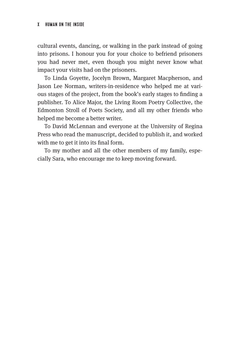cultural events, dancing, or walking in the park instead of going into prisons. I honour you for your choice to befriend prisoners you had never met, even though you might never know what impact your visits had on the prisoners.

To Linda Goyette, Jocelyn Brown, Margaret Macpherson, and Jason Lee Norman, writers-in-residence who helped me at various stages of the project, from the book's early stages to finding a publisher. To Alice Major, the Living Room Poetry Collective, the Edmonton Stroll of Poets Society, and all my other friends who helped me become a better writer.

To David McLennan and everyone at the University of Regina Press who read the manuscript, decided to publish it, and worked with me to get it into its final form.

To my mother and all the other members of my family, especially Sara, who encourage me to keep moving forward.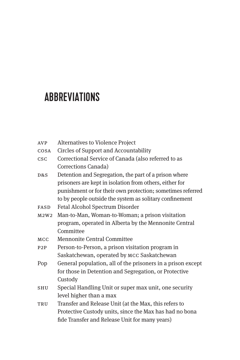## ABBREVIATIONS

| <b>AVP</b> | <b>Alternatives to Violence Project</b>                     |
|------------|-------------------------------------------------------------|
| COSA       | <b>Circles of Support and Accountability</b>                |
| csc        | Correctional Service of Canada (also referred to as         |
|            | Corrections Canada)                                         |
| D&S        | Detention and Segregation, the part of a prison where       |
|            | prisoners are kept in isolation from others, either for     |
|            | punishment or for their own protection; sometimes referred  |
|            | to by people outside the system as solitary confinement     |
| FASD       | Fetal Alcohol Spectrum Disorder                             |
| M2W2       | Man-to-Man, Woman-to-Woman; a prison visitation             |
|            | program, operated in Alberta by the Mennonite Central       |
|            | Committee                                                   |
| <b>MCC</b> | <b>Mennonite Central Committee</b>                          |
| P2P        | Person-to-Person, a prison visitation program in            |
|            | Saskatchewan, operated by MCC Saskatchewan                  |
| Pop        | General population, all of the prisoners in a prison except |
|            | for those in Detention and Segregation, or Protective       |
|            | Custody                                                     |
| SHU        | Special Handling Unit or super max unit, one security       |
|            | level higher than a max                                     |
| TRU        | Transfer and Release Unit (at the Max, this refers to       |
|            | Protective Custody units, since the Max has had no bona     |
|            | fide Transfer and Release Unit for many years)              |
|            |                                                             |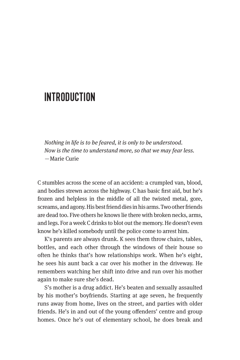### INTRODUCTION

Nothing in life is to be feared, it is only to be understood. Now is the time to understand more, so that we may fear less. — Marie Curie

C stumbles across the scene of an accident: a crumpled van, blood, and bodies strewn across the highway. C has basic first aid, but he's frozen and helpless in the middle of all the twisted metal, gore, screams, and agony. His best friend dies in his arms. Two other friends are dead too. Five others he knows lie there with broken necks, arms, and legs. For a week C drinks to blot out the memory. He doesn't even know he's killed somebody until the police come to arrest him.

K's parents are always drunk. K sees them throw chairs, tables, bottles, and each other through the windows of their house so often he thinks that's how relationships work. When he's eight, he sees his aunt back a car over his mother in the driveway. He remembers watching her shift into drive and run over his mother again to make sure she's dead.

S's mother is a drug addict. He's beaten and sexually assaulted by his mother's boyfriends. Starting at age seven, he frequently runs away from home, lives on the street, and parties with older friends. He's in and out of the young offenders' centre and group homes. Once he's out of elementary school, he does break and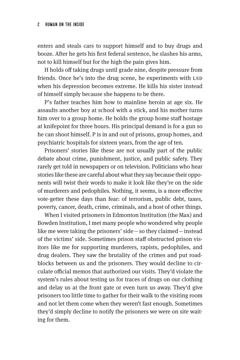#### 2 HUMAN ON THE INSIDE

enters and steals cars to support himself and to buy drugs and booze. After he gets his first federal sentence, he slashes his arms, not to kill himself but for the high the pain gives him.

H holds off taking drugs until grade nine, despite pressure from friends. Once he's into the drug scene, he experiments with LSD when his depression becomes extreme. He kills his sister instead of himself simply because she happens to be there.

P's father teaches him how to mainline heroin at age six. He assaults another boy at school with a stick, and his mother turns him over to a group home. He holds the group home staff hostage at knifepoint for three hours. His principal demand is for a gun so he can shoot himself. P is in and out of prisons, group homes, and psychiatric hospitals for sixteen years, from the age of ten.

Prisoners' stories like these are not usually part of the public debate about crime, punishment, justice, and public safety. They rarely get told in newspapers or on television. Politicians who hear stories like these are careful about what they say because their opponents will twist their words to make it look like they're on the side of murderers and pedophiles. Nothing, it seems, is a more effective vote-getter these days than fear: of terrorism, public debt, taxes, poverty, cancer, death, crime, criminals, and a host of other things.

When I visited prisoners in Edmonton Institution (the Max) and Bowden Institution, I met many people who wondered why people like me were taking the prisoners' side – so they claimed – instead of the victims' side. Sometimes prison staff obstructed prison visitors like me for supporting murderers, rapists, pedophiles, and drug dealers. They saw the brutality of the crimes and put roadblocks between us and the prisoners. They would decline to circulate official memos that authorized our visits. They'd violate the system's rules about testing us for traces of drugs on our clothing and delay us at the front gate or even turn us away. They'd give prisoners too little time to gather for their walk to the visiting room and not let them come when they weren't fast enough. Sometimes they'd simply decline to notify the prisoners we were on site waiting for them.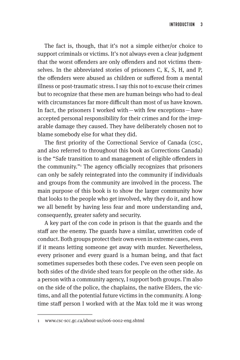The fact is, though, that it's not a simple either/or choice to support criminals or victims. It's not always even a clear judgment that the worst offenders are only offenders and not victims themselves. In the abbreviated stories of prisoners C, K, S, H, and P, the offenders were abused as children or suffered from a mental illness or post-traumatic stress. I say this not to excuse their crimes but to recognize that these men are human beings who had to deal with circumstances far more difficult than most of us have known. In fact, the prisoners I worked with — with few exceptions — have accepted personal responsibility for their crimes and for the irreparable damage they caused. They have deliberately chosen not to blame somebody else for what they did.

The first priority of the Correctional Service of Canada (csc, and also referred to throughout this book as Corrections Canada) is the "Safe transition to and management of eligible offenders in the community."1 The agency officially recognizes that prisoners can only be safely reintegrated into the community if individuals and groups from the community are involved in the process. The main purpose of this book is to show the larger community how that looks to the people who get involved, why they do it, and how we all benefit by having less fear and more understanding and, consequently, greater safety and security.

A key part of the con code in prison is that the guards and the staff are the enemy. The guards have a similar, unwritten code of conduct. Both groups protect their own even in extreme cases, even if it means letting someone get away with murder. Nevertheless, every prisoner and every guard is a human being, and that fact sometimes supersedes both these codes. I've even seen people on both sides of the divide shed tears for people on the other side. As a person with a community agency, I support both groups. I'm also on the side of the police, the chaplains, the native Elders, the victims, and all the potential future victims in the community. A longtime staff person I worked with at the Max told me it was wrong

<sup>1</sup> www.csc-scc.gc.ca/about-us/006-0002-eng.shtml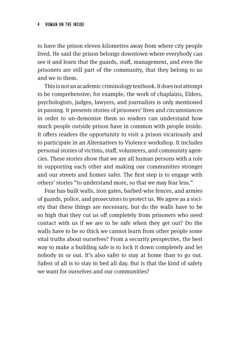to have the prison eleven kilometres away from where city people lived. He said the prison belongs downtown where everybody can see it and learn that the guards, staff, management, and even the prisoners are still part of the community, that they belong to us and we to them.

This is not an academic criminology textbook. It does not attempt to be comprehensive; for example, the work of chaplains, Elders, psychologists, judges, lawyers, and journalists is only mentioned in passing. It presents stories of prisoners' lives and circumstances in order to un-demonize them so readers can understand how much people outside prison have in common with people inside. It offers readers the opportunity to visit a prison vicariously and to participate in an Alternatives to Violence workshop. It includes personal stories of victims, staff, volunteers, and community agencies. These stories show that we are all human persons with a role in supporting each other and making our communities stronger and our streets and homes safer. The first step is to engage with others' stories "to understand more, so that we may fear less."

Fear has built walls, iron gates, barbed-wire fences, and armies of guards, police, and prosecutors to protect us. We agree as a society that these things are necessary, but do the walls have to be so high that they cut us off completely from prisoners who need contact with us if we are to be safe when they get out? Do the walls have to be so thick we cannot learn from other people some vital truths about ourselves? From a security perspective, the best way to make a building safe is to lock it down completely and let nobody in or out. It's also safer to stay at home than to go out. Safest of all is to stay in bed all day. But is that the kind of safety we want for ourselves and our communities?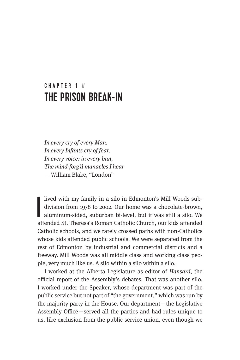### CHAPTER 1 // THE PRISON BREAK-IN

In every cry of every Man, In every Infants cry of fear, In every voice: in every ban, The mind-forg'd manacles I hear  —  William Blake, "London"

I lived with my family in a silo in Edmonton's Mill Woods sub-<br>division from 1978 to 2002. Our home was a chocolate-brown,<br>aluminum-sided, suburban bi-level, but it was still a silo. We<br>attended St. Theresa's Roman Catholi division from 1978 to 2002. Our home was a chocolate-brown, aluminum-sided, suburban bi-level, but it was still a silo. We attended St. Theresa's Roman Catholic Church, our kids attended Catholic schools, and we rarely crossed paths with non-Catholics whose kids attended public schools. We were separated from the rest of Edmonton by industrial and commercial districts and a freeway. Mill Woods was all middle class and working class people, very much like us. A silo within a silo within a silo.

I worked at the Alberta Legislature as editor of Hansard, the official report of the Assembly's debates. That was another silo. I worked under the Speaker, whose department was part of the public service but not part of "the government," which was run by the majority party in the House. Our department — the Legislative Assembly Office — served all the parties and had rules unique to us, like exclusion from the public service union, even though we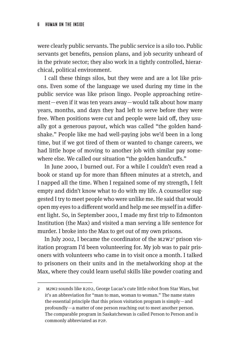were clearly public servants. The public service is a silo too. Public servants get benefits, pension plans, and job security unheard of in the private sector; they also work in a tightly controlled, hierarchical, political environment.

I call these things silos, but they were and are a lot like prisons. Even some of the language we used during my time in the public service was like prison lingo. People approaching retirement—even if it was ten years away—would talk about how many years, months, and days they had left to serve before they were free. When positions were cut and people were laid off, they usually got a generous payout, which was called "the golden handshake." People like me had well-paying jobs we'd been in a long time, but if we got tired of them or wanted to change careers, we had little hope of moving to another job with similar pay somewhere else. We called our situation "the golden handcuffs."

In June 2000, I burned out. For a while I couldn't even read a book or stand up for more than fifteen minutes at a stretch, and I napped all the time. When I regained some of my strength, I felt empty and didn't know what to do with my life. A counsellor suggested I try to meet people who were unlike me. He said that would open my eyes to a different world and help me see myself in a different light. So, in September 2001, I made my first trip to Edmonton Institution (the Max) and visited a man serving a life sentence for murder. I broke into the Max to get out of my own prisons.

In July 2002, I became the coordinator of the M2W2<sup>2</sup> prison visitation program I'd been volunteering for. My job was to pair prisoners with volunteers who came in to visit once a month. I talked to prisoners on their units and in the metalworking shop at the Max, where they could learn useful skills like powder coating and

<sup>2</sup> M2W2 sounds like R2D2, George Lucas's cute little robot from Star Wars, but it's an abbreviation for "man to man, woman to woman." The name states the essential principle that this prison visitation program is simply — and profoundly — a matter of one person reaching out to meet another person. The comparable program in Saskatchewan is called Person to Person and is commonly abbreviated as p2p.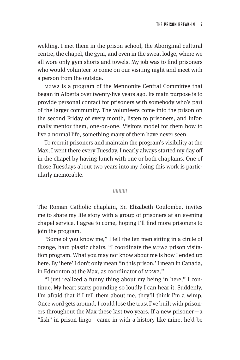welding. I met them in the prison school, the Aboriginal cultural centre, the chapel, the gym, and even in the sweat lodge, where we all wore only gym shorts and towels. My job was to find prisoners who would volunteer to come on our visiting night and meet with a person from the outside.

m2w2 is a program of the Mennonite Central Committee that began in Alberta over twenty-five years ago. Its main purpose is to provide personal contact for prisoners with somebody who's part of the larger community. The volunteers come into the prison on the second Friday of every month, listen to prisoners, and informally mentor them, one-on-one. Visitors model for them how to live a normal life, something many of them have never seen.

To recruit prisoners and maintain the program's visibility at the Max, I went there every Tuesday. I nearly always started my day off in the chapel by having lunch with one or both chaplains. One of those Tuesdays about two years into my doing this work is particularly memorable.

#### //////////

The Roman Catholic chaplain, Sr. Elizabeth Coulombe, invites me to share my life story with a group of prisoners at an evening chapel service. I agree to come, hoping I'll find more prisoners to join the program.

"Some of you know me," I tell the ten men sitting in a circle of orange, hard plastic chairs. "I coordinate the m2w2 prison visitation program. What you may not know about me is how I ended up here. By 'here' I don't only mean 'in this prison.' I mean in Canada, in Edmonton at the Max, as coordinator of m2w2."

"I just realized a funny thing about my being in here," I continue. My heart starts pounding so loudly I can hear it. Suddenly, I'm afraid that if I tell them about me, they'll think I'm a wimp. Once word gets around, I could lose the trust I've built with prisoners throughout the Max these last two years. If a new prisoner $-a$ "fish" in prison lingo — came in with a history like mine, he'd be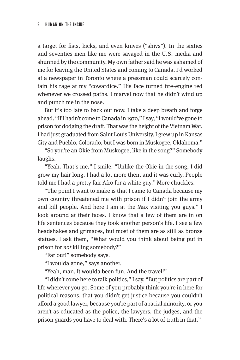a target for fists, kicks, and even knives ("shivs"). In the sixties and seventies men like me were savaged in the U.S. media and shunned by the community. My own father said he was ashamed of me for leaving the United States and coming to Canada. I'd worked at a newspaper in Toronto where a pressman could scarcely contain his rage at my "cowardice." His face turned fire-engine red whenever we crossed paths. I marvel now that he didn't wind up and punch me in the nose.

But it's too late to back out now. I take a deep breath and forge ahead. "If I hadn't come to Canada in 1970," I say, "I would've gone to prison for dodging the draft. That was the height of the Vietnam War. I had just graduated from Saint Louis University. I grew up in Kansas City and Pueblo, Colorado, but I was born in Muskogee, Oklahoma."

"So you're an Okie from Muskogee, like in the song?" Somebody laughs.

"Yeah. That's me," I smile. "Unlike the Okie in the song, I did grow my hair long. I had a lot more then, and it was curly. People told me I had a pretty fair Afro for a white guy." More chuckles.

"The point I want to make is that I came to Canada because my own country threatened me with prison if I didn't join the army and kill people. And here I am at the Max visiting you guys." I look around at their faces. I know that a few of them are in on life sentences because they took another person's life. I see a few headshakes and grimaces, but most of them are as still as bronze statues. I ask them, "What would you think about being put in prison for not killing somebody?"

"Far out!" somebody says.

"I woulda gone," says another.

"Yeah, man. It woulda been fun. And the travel!"

"I didn't come here to talk politics," I say. "But politics are part of life wherever you go. Some of you probably think you're in here for political reasons, that you didn't get justice because you couldn't afford a good lawyer, because you're part of a racial minority, or you aren't as educated as the police, the lawyers, the judges, and the prison guards you have to deal with. There's a lot of truth in that."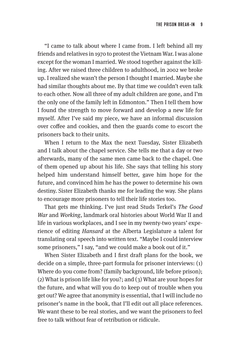"I came to talk about where I came from. I left behind all my friends and relatives in 1970 to protest the Vietnam War. I was alone except for the woman I married. We stood together against the killing. After we raised three children to adulthood, in 2002 we broke up. I realized she wasn't the person I thought I married. Maybe she had similar thoughts about me. By that time we couldn't even talk to each other. Now all three of my adult children are gone, and I'm the only one of the family left in Edmonton." Then I tell them how I found the strength to move forward and develop a new life for myself. After I've said my piece, we have an informal discussion over coffee and cookies, and then the guards come to escort the prisoners back to their units.

When I return to the Max the next Tuesday, Sister Elizabeth and I talk about the chapel service. She tells me that a day or two afterwards, many of the same men came back to the chapel. One of them opened up about his life. She says that telling his story helped him understand himself better, gave him hope for the future, and convinced him he has the power to determine his own destiny. Sister Elizabeth thanks me for leading the way. She plans to encourage more prisoners to tell their life stories too.

That gets me thinking. I've just read Studs Terkel's The Good War and Working, landmark oral histories about World War II and life in various workplaces, and I see in my twenty-two years' experience of editing Hansard at the Alberta Legislature a talent for translating oral speech into written text. "Maybe I could interview some prisoners," I say, "and we could make a book out of it."

When Sister Elizabeth and I first draft plans for the book, we decide on a simple, three-part formula for prisoner interviews: (1) Where do you come from? (family background, life before prison); (2) What is prison life like for you?; and (3) What are your hopes for the future, and what will you do to keep out of trouble when you get out? We agree that anonymity is essential, that I will include no prisoner's name in the book, that I'll edit out all place references. We want these to be real stories, and we want the prisoners to feel free to talk without fear of retribution or ridicule.